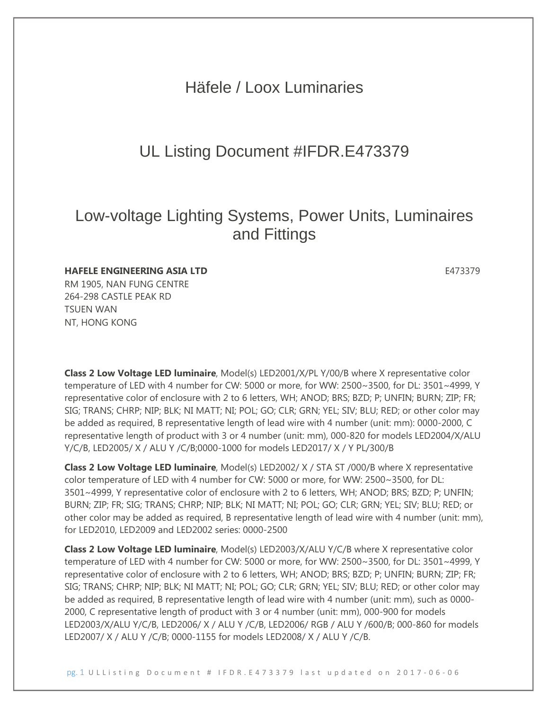# Häfele / Loox Luminaries

## UL Listing Document #IFDR.E473379

# Low-voltage Lighting Systems, Power Units, Luminaires and Fittings

### **HAFELE ENGINEERING ASIA LTD E473379**

RM 1905, NAN FUNG CENTRE 264-298 CASTLE PEAK RD TSUEN WAN NT, HONG KONG

**Class 2 Low Voltage LED luminaire**, Model(s) LED2001/X/PL Y/00/B where X representative color temperature of LED with 4 number for CW: 5000 or more, for WW: 2500~3500, for DL: 3501~4999, Y representative color of enclosure with 2 to 6 letters, WH; ANOD; BRS; BZD; P; UNFIN; BURN; ZIP; FR; SIG; TRANS; CHRP; NIP; BLK; NI MATT; NI; POL; GO; CLR; GRN; YEL; SIV; BLU; RED; or other color may be added as required, B representative length of lead wire with 4 number (unit: mm): 0000-2000, C representative length of product with 3 or 4 number (unit: mm), 000-820 for models LED2004/X/ALU Y/C/B, LED2005/ X / ALU Y /C/B;0000-1000 for models LED2017/ X / Y PL/300/B

**Class 2 Low Voltage LED luminaire**, Model(s) LED2002/ X / STA ST /000/B where X representative color temperature of LED with 4 number for CW: 5000 or more, for WW: 2500~3500, for DL: 3501~4999, Y representative color of enclosure with 2 to 6 letters, WH; ANOD; BRS; BZD; P; UNFIN; BURN; ZIP; FR; SIG; TRANS; CHRP; NIP; BLK; NI MATT; NI; POL; GO; CLR; GRN; YEL; SIV; BLU; RED; or other color may be added as required, B representative length of lead wire with 4 number (unit: mm), for LED2010, LED2009 and LED2002 series: 0000-2500

**Class 2 Low Voltage LED luminaire**, Model(s) LED2003/X/ALU Y/C/B where X representative color temperature of LED with 4 number for CW: 5000 or more, for WW: 2500~3500, for DL: 3501~4999, Y representative color of enclosure with 2 to 6 letters, WH; ANOD; BRS; BZD; P; UNFIN; BURN; ZIP; FR; SIG; TRANS; CHRP; NIP; BLK; NI MATT; NI; POL; GO; CLR; GRN; YEL; SIV; BLU; RED; or other color may be added as required, B representative length of lead wire with 4 number (unit: mm), such as 0000- 2000, C representative length of product with 3 or 4 number (unit: mm), 000-900 for models LED2003/X/ALU Y/C/B, LED2006/ X / ALU Y /C/B, LED2006/ RGB / ALU Y /600/B; 000-860 for models LED2007/ X / ALU Y /C/B; 0000-1155 for models LED2008/ X / ALU Y /C/B.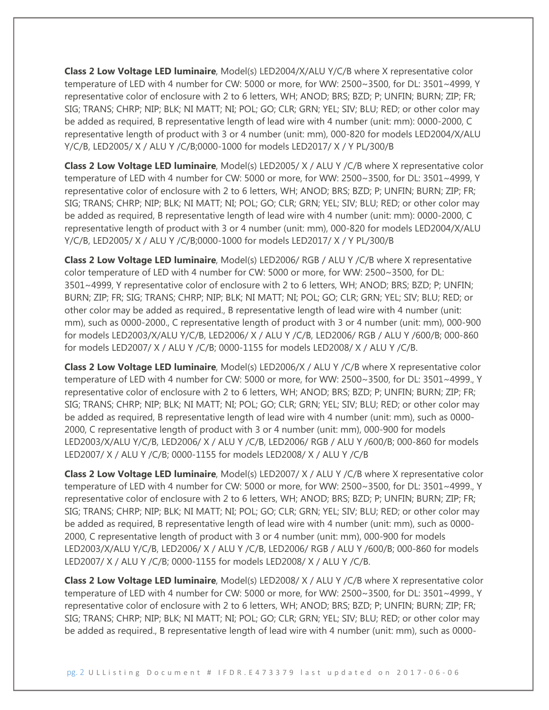**Class 2 Low Voltage LED luminaire**, Model(s) LED2004/X/ALU Y/C/B where X representative color temperature of LED with 4 number for CW: 5000 or more, for WW: 2500~3500, for DL: 3501~4999, Y representative color of enclosure with 2 to 6 letters, WH; ANOD; BRS; BZD; P; UNFIN; BURN; ZIP; FR; SIG; TRANS; CHRP; NIP; BLK; NI MATT; NI; POL; GO; CLR; GRN; YEL; SIV; BLU; RED; or other color may be added as required, B representative length of lead wire with 4 number (unit: mm): 0000-2000, C representative length of product with 3 or 4 number (unit: mm), 000-820 for models LED2004/X/ALU Y/C/B, LED2005/ X / ALU Y /C/B;0000-1000 for models LED2017/ X / Y PL/300/B

**Class 2 Low Voltage LED luminaire**, Model(s) LED2005/ X / ALU Y /C/B where X representative color temperature of LED with 4 number for CW: 5000 or more, for WW: 2500~3500, for DL: 3501~4999, Y representative color of enclosure with 2 to 6 letters, WH; ANOD; BRS; BZD; P; UNFIN; BURN; ZIP; FR; SIG; TRANS; CHRP; NIP; BLK; NI MATT; NI; POL; GO; CLR; GRN; YEL; SIV; BLU; RED; or other color may be added as required, B representative length of lead wire with 4 number (unit: mm): 0000-2000, C representative length of product with 3 or 4 number (unit: mm), 000-820 for models LED2004/X/ALU Y/C/B, LED2005/ X / ALU Y /C/B;0000-1000 for models LED2017/ X / Y PL/300/B

**Class 2 Low Voltage LED luminaire**, Model(s) LED2006/ RGB / ALU Y /C/B where X representative color temperature of LED with 4 number for CW: 5000 or more, for WW: 2500~3500, for DL: 3501~4999, Y representative color of enclosure with 2 to 6 letters, WH; ANOD; BRS; BZD; P; UNFIN; BURN; ZIP; FR; SIG; TRANS; CHRP; NIP; BLK; NI MATT; NI; POL; GO; CLR; GRN; YEL; SIV; BLU; RED; or other color may be added as required., B representative length of lead wire with 4 number (unit: mm), such as 0000-2000., C representative length of product with 3 or 4 number (unit: mm), 000-900 for models LED2003/X/ALU Y/C/B, LED2006/ X / ALU Y /C/B, LED2006/ RGB / ALU Y /600/B; 000-860 for models LED2007/ X / ALU Y /C/B; 0000-1155 for models LED2008/ X / ALU Y /C/B.

**Class 2 Low Voltage LED luminaire**, Model(s) LED2006/X / ALU Y /C/B where X representative color temperature of LED with 4 number for CW: 5000 or more, for WW: 2500~3500, for DL: 3501~4999., Y representative color of enclosure with 2 to 6 letters, WH; ANOD; BRS; BZD; P; UNFIN; BURN; ZIP; FR; SIG; TRANS; CHRP; NIP; BLK; NI MATT; NI; POL; GO; CLR; GRN; YEL; SIV; BLU; RED; or other color may be added as required, B representative length of lead wire with 4 number (unit: mm), such as 0000- 2000, C representative length of product with 3 or 4 number (unit: mm), 000-900 for models LED2003/X/ALU Y/C/B, LED2006/ X / ALU Y /C/B, LED2006/ RGB / ALU Y /600/B; 000-860 for models LED2007/ X / ALU Y /C/B; 0000-1155 for models LED2008/ X / ALU Y /C/B

**Class 2 Low Voltage LED luminaire**, Model(s) LED2007/ X / ALU Y /C/B where X representative color temperature of LED with 4 number for CW: 5000 or more, for WW: 2500~3500, for DL: 3501~4999., Y representative color of enclosure with 2 to 6 letters, WH; ANOD; BRS; BZD; P; UNFIN; BURN; ZIP; FR; SIG; TRANS; CHRP; NIP; BLK; NI MATT; NI; POL; GO; CLR; GRN; YEL; SIV; BLU; RED; or other color may be added as required, B representative length of lead wire with 4 number (unit: mm), such as 0000- 2000, C representative length of product with 3 or 4 number (unit: mm), 000-900 for models LED2003/X/ALU Y/C/B, LED2006/ X / ALU Y /C/B, LED2006/ RGB / ALU Y /600/B; 000-860 for models LED2007/ X / ALU Y /C/B; 0000-1155 for models LED2008/ X / ALU Y /C/B.

**Class 2 Low Voltage LED luminaire**, Model(s) LED2008/ X / ALU Y /C/B where X representative color temperature of LED with 4 number for CW: 5000 or more, for WW: 2500~3500, for DL: 3501~4999., Y representative color of enclosure with 2 to 6 letters, WH; ANOD; BRS; BZD; P; UNFIN; BURN; ZIP; FR; SIG; TRANS; CHRP; NIP; BLK; NI MATT; NI; POL; GO; CLR; GRN; YEL; SIV; BLU; RED; or other color may be added as required., B representative length of lead wire with 4 number (unit: mm), such as 0000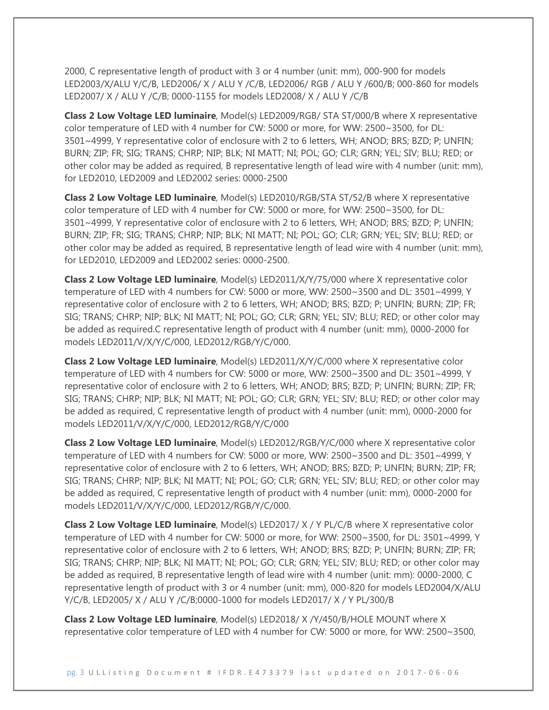2000, C representative length of product with 3 or 4 number (unit: mm), 000-900 for models LED2003/X/ALU Y/C/B, LED2006/ X / ALU Y /C/B, LED2006/ RGB / ALU Y /600/B; 000-860 for models LED2007/ X / ALU Y /C/B; 0000-1155 for models LED2008/ X / ALU Y /C/B

**Class 2 Low Voltage LED luminaire**, Model(s) LED2009/RGB/ STA ST/000/B where X representative color temperature of LED with 4 number for CW: 5000 or more, for WW: 2500~3500, for DL: 3501~4999, Y representative color of enclosure with 2 to 6 letters, WH; ANOD; BRS; BZD; P; UNFIN; BURN; ZIP; FR; SIG; TRANS; CHRP; NIP; BLK; NI MATT; NI; POL; GO; CLR; GRN; YEL; SIV; BLU; RED; or other color may be added as required, B representative length of lead wire with 4 number (unit: mm), for LED2010, LED2009 and LED2002 series: 0000-2500

**Class 2 Low Voltage LED luminaire**, Model(s) LED2010/RGB/STA ST/52/B where X representative color temperature of LED with 4 number for CW: 5000 or more, for WW: 2500~3500, for DL: 3501~4999, Y representative color of enclosure with 2 to 6 letters, WH; ANOD; BRS; BZD; P; UNFIN; BURN; ZIP; FR; SIG; TRANS; CHRP; NIP; BLK; NI MATT; NI; POL; GO; CLR; GRN; YEL; SIV; BLU; RED; or other color may be added as required, B representative length of lead wire with 4 number (unit: mm), for LED2010, LED2009 and LED2002 series: 0000-2500.

**Class 2 Low Voltage LED luminaire**, Model(s) LED2011/X/Y/75/000 where X representative color temperature of LED with 4 numbers for CW: 5000 or more, WW: 2500~3500 and DL: 3501~4999, Y representative color of enclosure with 2 to 6 letters, WH; ANOD; BRS; BZD; P; UNFIN; BURN; ZIP; FR; SIG; TRANS; CHRP; NIP; BLK; NI MATT; NI; POL; GO; CLR; GRN; YEL; SIV; BLU; RED; or other color may be added as required.C representative length of product with 4 number (unit: mm), 0000-2000 for models LED2011/V/X/Y/C/000, LED2012/RGB/Y/C/000.

**Class 2 Low Voltage LED luminaire**, Model(s) LED2011/X/Y/C/000 where X representative color temperature of LED with 4 numbers for CW: 5000 or more, WW: 2500~3500 and DL: 3501~4999, Y representative color of enclosure with 2 to 6 letters, WH; ANOD; BRS; BZD; P; UNFIN; BURN; ZIP; FR; SIG; TRANS; CHRP; NIP; BLK; NI MATT; NI; POL; GO; CLR; GRN; YEL; SIV; BLU; RED; or other color may be added as required, C representative length of product with 4 number (unit: mm), 0000-2000 for models LED2011/V/X/Y/C/000, LED2012/RGB/Y/C/000

**Class 2 Low Voltage LED luminaire**, Model(s) LED2012/RGB/Y/C/000 where X representative color temperature of LED with 4 numbers for CW: 5000 or more, WW: 2500~3500 and DL: 3501~4999, Y representative color of enclosure with 2 to 6 letters, WH; ANOD; BRS; BZD; P; UNFIN; BURN; ZIP; FR; SIG; TRANS; CHRP; NIP; BLK; NI MATT; NI; POL; GO; CLR; GRN; YEL; SIV; BLU; RED; or other color may be added as required, C representative length of product with 4 number (unit: mm), 0000-2000 for models LED2011/V/X/Y/C/000, LED2012/RGB/Y/C/000.

**Class 2 Low Voltage LED luminaire**, Model(s) LED2017/ X / Y PL/C/B where X representative color temperature of LED with 4 number for CW: 5000 or more, for WW: 2500~3500, for DL: 3501~4999, Y representative color of enclosure with 2 to 6 letters, WH; ANOD; BRS; BZD; P; UNFIN; BURN; ZIP; FR; SIG; TRANS; CHRP; NIP; BLK; NI MATT; NI; POL; GO; CLR; GRN; YEL; SIV; BLU; RED; or other color may be added as required, B representative length of lead wire with 4 number (unit: mm): 0000-2000, C representative length of product with 3 or 4 number (unit: mm), 000-820 for models LED2004/X/ALU Y/C/B, LED2005/ X / ALU Y /C/B;0000-1000 for models LED2017/ X / Y PL/300/B

**Class 2 Low Voltage LED luminaire**, Model(s) LED2018/ X /Y/450/B/HOLE MOUNT where X representative color temperature of LED with 4 number for CW: 5000 or more, for WW: 2500~3500,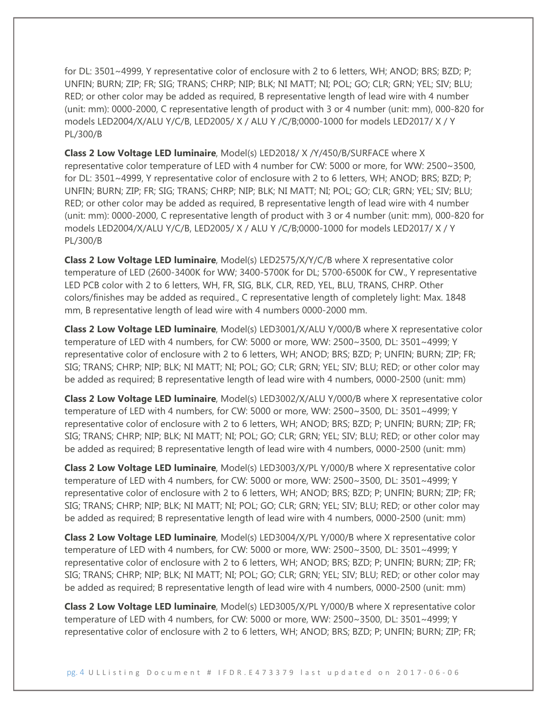for DL: 3501~4999, Y representative color of enclosure with 2 to 6 letters, WH; ANOD; BRS; BZD; P; UNFIN; BURN; ZIP; FR; SIG; TRANS; CHRP; NIP; BLK; NI MATT; NI; POL; GO; CLR; GRN; YEL; SIV; BLU; RED; or other color may be added as required, B representative length of lead wire with 4 number (unit: mm): 0000-2000, C representative length of product with 3 or 4 number (unit: mm), 000-820 for models LED2004/X/ALU Y/C/B, LED2005/ X / ALU Y /C/B;0000-1000 for models LED2017/ X / Y PL/300/B

**Class 2 Low Voltage LED luminaire**, Model(s) LED2018/ X /Y/450/B/SURFACE where X representative color temperature of LED with 4 number for CW: 5000 or more, for WW: 2500~3500, for DL: 3501~4999, Y representative color of enclosure with 2 to 6 letters, WH; ANOD; BRS; BZD; P; UNFIN; BURN; ZIP; FR; SIG; TRANS; CHRP; NIP; BLK; NI MATT; NI; POL; GO; CLR; GRN; YEL; SIV; BLU; RED; or other color may be added as required, B representative length of lead wire with 4 number (unit: mm): 0000-2000, C representative length of product with 3 or 4 number (unit: mm), 000-820 for models LED2004/X/ALU Y/C/B, LED2005/ X / ALU Y /C/B;0000-1000 for models LED2017/ X / Y PL/300/B

**Class 2 Low Voltage LED luminaire**, Model(s) LED2575/X/Y/C/B where X representative color temperature of LED (2600-3400K for WW; 3400-5700K for DL; 5700-6500K for CW., Y representative LED PCB color with 2 to 6 letters, WH, FR, SIG, BLK, CLR, RED, YEL, BLU, TRANS, CHRP. Other colors/finishes may be added as required., C representative length of completely light: Max. 1848 mm, B representative length of lead wire with 4 numbers 0000-2000 mm.

**Class 2 Low Voltage LED luminaire**, Model(s) LED3001/X/ALU Y/000/B where X representative color temperature of LED with 4 numbers, for CW: 5000 or more, WW: 2500~3500, DL: 3501~4999; Y representative color of enclosure with 2 to 6 letters, WH; ANOD; BRS; BZD; P; UNFIN; BURN; ZIP; FR; SIG; TRANS; CHRP; NIP; BLK; NI MATT; NI; POL; GO; CLR; GRN; YEL; SIV; BLU; RED; or other color may be added as required; B representative length of lead wire with 4 numbers, 0000-2500 (unit: mm)

**Class 2 Low Voltage LED luminaire**, Model(s) LED3002/X/ALU Y/000/B where X representative color temperature of LED with 4 numbers, for CW: 5000 or more, WW: 2500~3500, DL: 3501~4999; Y representative color of enclosure with 2 to 6 letters, WH; ANOD; BRS; BZD; P; UNFIN; BURN; ZIP; FR; SIG; TRANS; CHRP; NIP; BLK; NI MATT; NI; POL; GO; CLR; GRN; YEL; SIV; BLU; RED; or other color may be added as required; B representative length of lead wire with 4 numbers, 0000-2500 (unit: mm)

**Class 2 Low Voltage LED luminaire**, Model(s) LED3003/X/PL Y/000/B where X representative color temperature of LED with 4 numbers, for CW: 5000 or more, WW: 2500~3500, DL: 3501~4999; Y representative color of enclosure with 2 to 6 letters, WH; ANOD; BRS; BZD; P; UNFIN; BURN; ZIP; FR; SIG; TRANS; CHRP; NIP; BLK; NI MATT; NI; POL; GO; CLR; GRN; YEL; SIV; BLU; RED; or other color may be added as required; B representative length of lead wire with 4 numbers, 0000-2500 (unit: mm)

**Class 2 Low Voltage LED luminaire**, Model(s) LED3004/X/PL Y/000/B where X representative color temperature of LED with 4 numbers, for CW: 5000 or more, WW: 2500~3500, DL: 3501~4999; Y representative color of enclosure with 2 to 6 letters, WH; ANOD; BRS; BZD; P; UNFIN; BURN; ZIP; FR; SIG; TRANS; CHRP; NIP; BLK; NI MATT; NI; POL; GO; CLR; GRN; YEL; SIV; BLU; RED; or other color may be added as required; B representative length of lead wire with 4 numbers, 0000-2500 (unit: mm)

**Class 2 Low Voltage LED luminaire**, Model(s) LED3005/X/PL Y/000/B where X representative color temperature of LED with 4 numbers, for CW: 5000 or more, WW: 2500~3500, DL: 3501~4999; Y representative color of enclosure with 2 to 6 letters, WH; ANOD; BRS; BZD; P; UNFIN; BURN; ZIP; FR;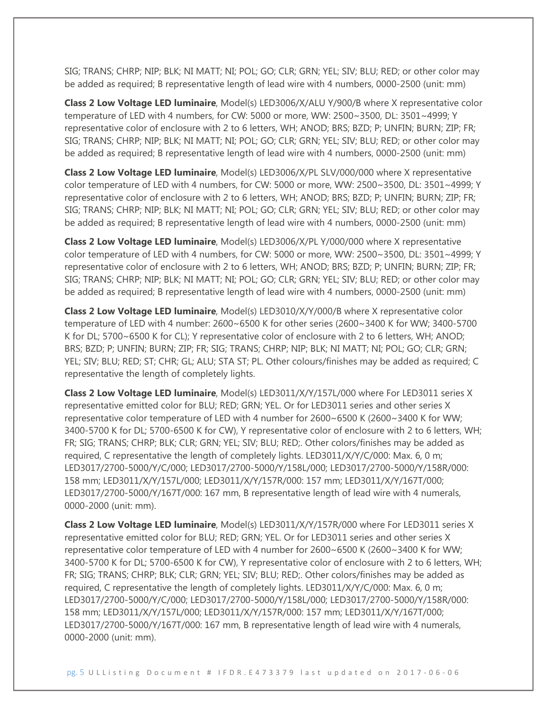SIG; TRANS; CHRP; NIP; BLK; NI MATT; NI; POL; GO; CLR; GRN; YEL; SIV; BLU; RED; or other color may be added as required; B representative length of lead wire with 4 numbers, 0000-2500 (unit: mm)

**Class 2 Low Voltage LED luminaire**, Model(s) LED3006/X/ALU Y/900/B where X representative color temperature of LED with 4 numbers, for CW: 5000 or more, WW: 2500~3500, DL: 3501~4999; Y representative color of enclosure with 2 to 6 letters, WH; ANOD; BRS; BZD; P; UNFIN; BURN; ZIP; FR; SIG; TRANS; CHRP; NIP; BLK; NI MATT; NI; POL; GO; CLR; GRN; YEL; SIV; BLU; RED; or other color may be added as required; B representative length of lead wire with 4 numbers, 0000-2500 (unit: mm)

**Class 2 Low Voltage LED luminaire**, Model(s) LED3006/X/PL SLV/000/000 where X representative color temperature of LED with 4 numbers, for CW: 5000 or more, WW: 2500~3500, DL: 3501~4999; Y representative color of enclosure with 2 to 6 letters, WH; ANOD; BRS; BZD; P; UNFIN; BURN; ZIP; FR; SIG; TRANS; CHRP; NIP; BLK; NI MATT; NI; POL; GO; CLR; GRN; YEL; SIV; BLU; RED; or other color may be added as required; B representative length of lead wire with 4 numbers, 0000-2500 (unit: mm)

**Class 2 Low Voltage LED luminaire**, Model(s) LED3006/X/PL Y/000/000 where X representative color temperature of LED with 4 numbers, for CW: 5000 or more, WW: 2500~3500, DL: 3501~4999; Y representative color of enclosure with 2 to 6 letters, WH; ANOD; BRS; BZD; P; UNFIN; BURN; ZIP; FR; SIG; TRANS; CHRP; NIP; BLK; NI MATT; NI; POL; GO; CLR; GRN; YEL; SIV; BLU; RED; or other color may be added as required; B representative length of lead wire with 4 numbers, 0000-2500 (unit: mm)

**Class 2 Low Voltage LED luminaire**, Model(s) LED3010/X/Y/000/B where X representative color temperature of LED with 4 number: 2600~6500 K for other series (2600~3400 K for WW; 3400-5700 K for DL; 5700~6500 K for CL); Y representative color of enclosure with 2 to 6 letters, WH; ANOD; BRS; BZD; P; UNFIN; BURN; ZIP; FR; SIG; TRANS; CHRP; NIP; BLK; NI MATT; NI; POL; GO; CLR; GRN; YEL; SIV; BLU; RED; ST; CHR; GL; ALU; STA ST; PL. Other colours/finishes may be added as required; C representative the length of completely lights.

**Class 2 Low Voltage LED luminaire**, Model(s) LED3011/X/Y/157L/000 where For LED3011 series X representative emitted color for BLU; RED; GRN; YEL. Or for LED3011 series and other series X representative color temperature of LED with 4 number for 2600~6500 K (2600~3400 K for WW; 3400-5700 K for DL; 5700-6500 K for CW), Y representative color of enclosure with 2 to 6 letters, WH; FR; SIG; TRANS; CHRP; BLK; CLR; GRN; YEL; SIV; BLU; RED;. Other colors/finishes may be added as required, C representative the length of completely lights. LED3011/X/Y/C/000: Max. 6, 0 m; LED3017/2700-5000/Y/C/000; LED3017/2700-5000/Y/158L/000; LED3017/2700-5000/Y/158R/000: 158 mm; LED3011/X/Y/157L/000; LED3011/X/Y/157R/000: 157 mm; LED3011/X/Y/167T/000; LED3017/2700-5000/Y/167T/000: 167 mm, B representative length of lead wire with 4 numerals, 0000-2000 (unit: mm).

**Class 2 Low Voltage LED luminaire**, Model(s) LED3011/X/Y/157R/000 where For LED3011 series X representative emitted color for BLU; RED; GRN; YEL. Or for LED3011 series and other series X representative color temperature of LED with 4 number for 2600~6500 K (2600~3400 K for WW; 3400-5700 K for DL; 5700-6500 K for CW), Y representative color of enclosure with 2 to 6 letters, WH; FR; SIG; TRANS; CHRP; BLK; CLR; GRN; YEL; SIV; BLU; RED;. Other colors/finishes may be added as required, C representative the length of completely lights. LED3011/X/Y/C/000: Max. 6, 0 m; LED3017/2700-5000/Y/C/000; LED3017/2700-5000/Y/158L/000; LED3017/2700-5000/Y/158R/000: 158 mm; LED3011/X/Y/157L/000; LED3011/X/Y/157R/000: 157 mm; LED3011/X/Y/167T/000; LED3017/2700-5000/Y/167T/000: 167 mm, B representative length of lead wire with 4 numerals, 0000-2000 (unit: mm).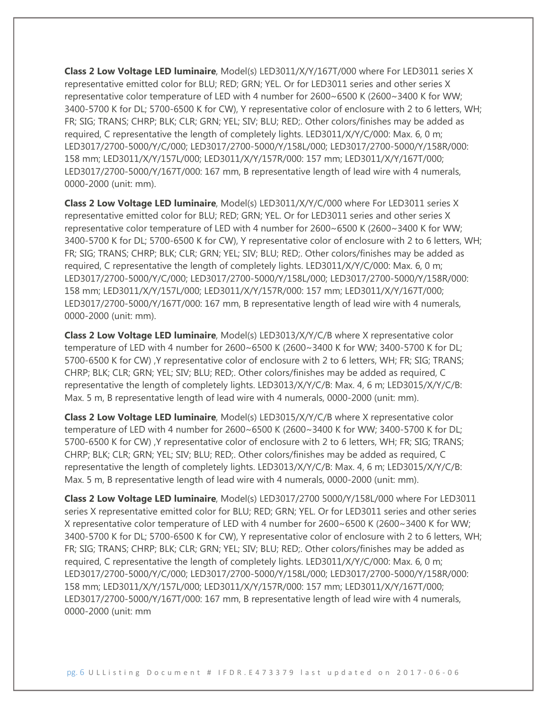**Class 2 Low Voltage LED luminaire**, Model(s) LED3011/X/Y/167T/000 where For LED3011 series X representative emitted color for BLU; RED; GRN; YEL. Or for LED3011 series and other series X representative color temperature of LED with 4 number for 2600~6500 K (2600~3400 K for WW; 3400-5700 K for DL; 5700-6500 K for CW), Y representative color of enclosure with 2 to 6 letters, WH; FR; SIG; TRANS; CHRP; BLK; CLR; GRN; YEL; SIV; BLU; RED;. Other colors/finishes may be added as required, C representative the length of completely lights. LED3011/X/Y/C/000: Max. 6, 0 m; LED3017/2700-5000/Y/C/000; LED3017/2700-5000/Y/158L/000; LED3017/2700-5000/Y/158R/000: 158 mm; LED3011/X/Y/157L/000; LED3011/X/Y/157R/000: 157 mm; LED3011/X/Y/167T/000; LED3017/2700-5000/Y/167T/000: 167 mm, B representative length of lead wire with 4 numerals, 0000-2000 (unit: mm).

**Class 2 Low Voltage LED luminaire**, Model(s) LED3011/X/Y/C/000 where For LED3011 series X representative emitted color for BLU; RED; GRN; YEL. Or for LED3011 series and other series X representative color temperature of LED with 4 number for 2600~6500 K (2600~3400 K for WW; 3400-5700 K for DL; 5700-6500 K for CW), Y representative color of enclosure with 2 to 6 letters, WH; FR; SIG; TRANS; CHRP; BLK; CLR; GRN; YEL; SIV; BLU; RED;. Other colors/finishes may be added as required, C representative the length of completely lights. LED3011/X/Y/C/000: Max. 6, 0 m; LED3017/2700-5000/Y/C/000; LED3017/2700-5000/Y/158L/000; LED3017/2700-5000/Y/158R/000: 158 mm; LED3011/X/Y/157L/000; LED3011/X/Y/157R/000: 157 mm; LED3011/X/Y/167T/000; LED3017/2700-5000/Y/167T/000: 167 mm, B representative length of lead wire with 4 numerals, 0000-2000 (unit: mm).

**Class 2 Low Voltage LED luminaire**, Model(s) LED3013/X/Y/C/B where X representative color temperature of LED with 4 number for 2600~6500 K (2600~3400 K for WW; 3400-5700 K for DL; 5700-6500 K for CW) ,Y representative color of enclosure with 2 to 6 letters, WH; FR; SIG; TRANS; CHRP; BLK; CLR; GRN; YEL; SIV; BLU; RED;. Other colors/finishes may be added as required, C representative the length of completely lights. LED3013/X/Y/C/B: Max. 4, 6 m; LED3015/X/Y/C/B: Max. 5 m, B representative length of lead wire with 4 numerals, 0000-2000 (unit: mm).

**Class 2 Low Voltage LED luminaire**, Model(s) LED3015/X/Y/C/B where X representative color temperature of LED with 4 number for 2600~6500 K (2600~3400 K for WW; 3400-5700 K for DL; 5700-6500 K for CW) ,Y representative color of enclosure with 2 to 6 letters, WH; FR; SIG; TRANS; CHRP; BLK; CLR; GRN; YEL; SIV; BLU; RED;. Other colors/finishes may be added as required, C representative the length of completely lights. LED3013/X/Y/C/B: Max. 4, 6 m; LED3015/X/Y/C/B: Max. 5 m, B representative length of lead wire with 4 numerals, 0000-2000 (unit: mm).

**Class 2 Low Voltage LED luminaire**, Model(s) LED3017/2700 5000/Y/158L/000 where For LED3011 series X representative emitted color for BLU; RED; GRN; YEL. Or for LED3011 series and other series X representative color temperature of LED with 4 number for 2600~6500 K (2600~3400 K for WW; 3400-5700 K for DL; 5700-6500 K for CW), Y representative color of enclosure with 2 to 6 letters, WH; FR; SIG; TRANS; CHRP; BLK; CLR; GRN; YEL; SIV; BLU; RED;. Other colors/finishes may be added as required, C representative the length of completely lights. LED3011/X/Y/C/000: Max. 6, 0 m; LED3017/2700-5000/Y/C/000; LED3017/2700-5000/Y/158L/000; LED3017/2700-5000/Y/158R/000: 158 mm; LED3011/X/Y/157L/000; LED3011/X/Y/157R/000: 157 mm; LED3011/X/Y/167T/000; LED3017/2700-5000/Y/167T/000: 167 mm, B representative length of lead wire with 4 numerals, 0000-2000 (unit: mm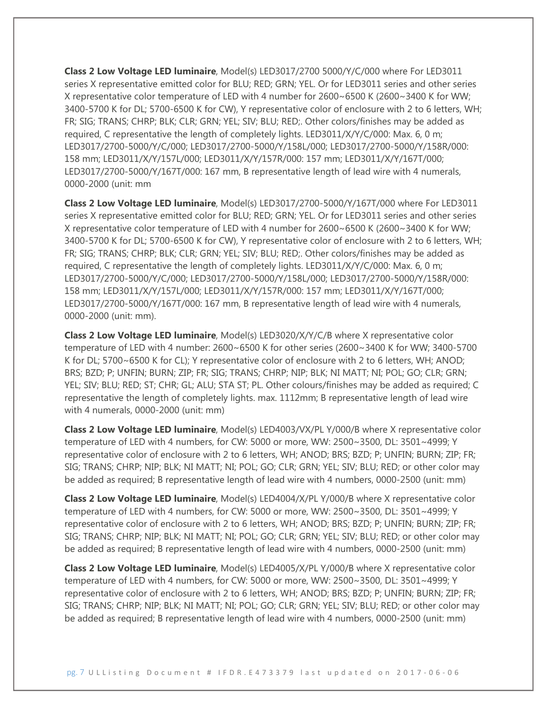**Class 2 Low Voltage LED luminaire**, Model(s) LED3017/2700 5000/Y/C/000 where For LED3011 series X representative emitted color for BLU; RED; GRN; YEL. Or for LED3011 series and other series X representative color temperature of LED with 4 number for 2600~6500 K (2600~3400 K for WW; 3400-5700 K for DL; 5700-6500 K for CW), Y representative color of enclosure with 2 to 6 letters, WH; FR; SIG; TRANS; CHRP; BLK; CLR; GRN; YEL; SIV; BLU; RED;. Other colors/finishes may be added as required, C representative the length of completely lights. LED3011/X/Y/C/000: Max. 6, 0 m; LED3017/2700-5000/Y/C/000; LED3017/2700-5000/Y/158L/000; LED3017/2700-5000/Y/158R/000: 158 mm; LED3011/X/Y/157L/000; LED3011/X/Y/157R/000: 157 mm; LED3011/X/Y/167T/000; LED3017/2700-5000/Y/167T/000: 167 mm, B representative length of lead wire with 4 numerals, 0000-2000 (unit: mm

**Class 2 Low Voltage LED luminaire**, Model(s) LED3017/2700-5000/Y/167T/000 where For LED3011 series X representative emitted color for BLU; RED; GRN; YEL. Or for LED3011 series and other series X representative color temperature of LED with 4 number for 2600~6500 K (2600~3400 K for WW; 3400-5700 K for DL; 5700-6500 K for CW), Y representative color of enclosure with 2 to 6 letters, WH; FR; SIG; TRANS; CHRP; BLK; CLR; GRN; YEL; SIV; BLU; RED;. Other colors/finishes may be added as required, C representative the length of completely lights. LED3011/X/Y/C/000: Max. 6, 0 m; LED3017/2700-5000/Y/C/000; LED3017/2700-5000/Y/158L/000; LED3017/2700-5000/Y/158R/000: 158 mm; LED3011/X/Y/157L/000; LED3011/X/Y/157R/000: 157 mm; LED3011/X/Y/167T/000; LED3017/2700-5000/Y/167T/000: 167 mm, B representative length of lead wire with 4 numerals, 0000-2000 (unit: mm).

**Class 2 Low Voltage LED luminaire**, Model(s) LED3020/X/Y/C/B where X representative color temperature of LED with 4 number: 2600~6500 K for other series (2600~3400 K for WW; 3400-5700 K for DL; 5700~6500 K for CL); Y representative color of enclosure with 2 to 6 letters, WH; ANOD; BRS; BZD; P; UNFIN; BURN; ZIP; FR; SIG; TRANS; CHRP; NIP; BLK; NI MATT; NI; POL; GO; CLR; GRN; YEL; SIV; BLU; RED; ST; CHR; GL; ALU; STA ST; PL. Other colours/finishes may be added as required; C representative the length of completely lights. max. 1112mm; B representative length of lead wire with 4 numerals, 0000-2000 (unit: mm)

**Class 2 Low Voltage LED luminaire**, Model(s) LED4003/VX/PL Y/000/B where X representative color temperature of LED with 4 numbers, for CW: 5000 or more, WW: 2500~3500, DL: 3501~4999; Y representative color of enclosure with 2 to 6 letters, WH; ANOD; BRS; BZD; P; UNFIN; BURN; ZIP; FR; SIG; TRANS; CHRP; NIP; BLK; NI MATT; NI; POL; GO; CLR; GRN; YEL; SIV; BLU; RED; or other color may be added as required; B representative length of lead wire with 4 numbers, 0000-2500 (unit: mm)

**Class 2 Low Voltage LED luminaire**, Model(s) LED4004/X/PL Y/000/B where X representative color temperature of LED with 4 numbers, for CW: 5000 or more, WW: 2500~3500, DL: 3501~4999; Y representative color of enclosure with 2 to 6 letters, WH; ANOD; BRS; BZD; P; UNFIN; BURN; ZIP; FR; SIG; TRANS; CHRP; NIP; BLK; NI MATT; NI; POL; GO; CLR; GRN; YEL; SIV; BLU; RED; or other color may be added as required; B representative length of lead wire with 4 numbers, 0000-2500 (unit: mm)

**Class 2 Low Voltage LED luminaire**, Model(s) LED4005/X/PL Y/000/B where X representative color temperature of LED with 4 numbers, for CW: 5000 or more, WW: 2500~3500, DL: 3501~4999; Y representative color of enclosure with 2 to 6 letters, WH; ANOD; BRS; BZD; P; UNFIN; BURN; ZIP; FR; SIG; TRANS; CHRP; NIP; BLK; NI MATT; NI; POL; GO; CLR; GRN; YEL; SIV; BLU; RED; or other color may be added as required; B representative length of lead wire with 4 numbers, 0000-2500 (unit: mm)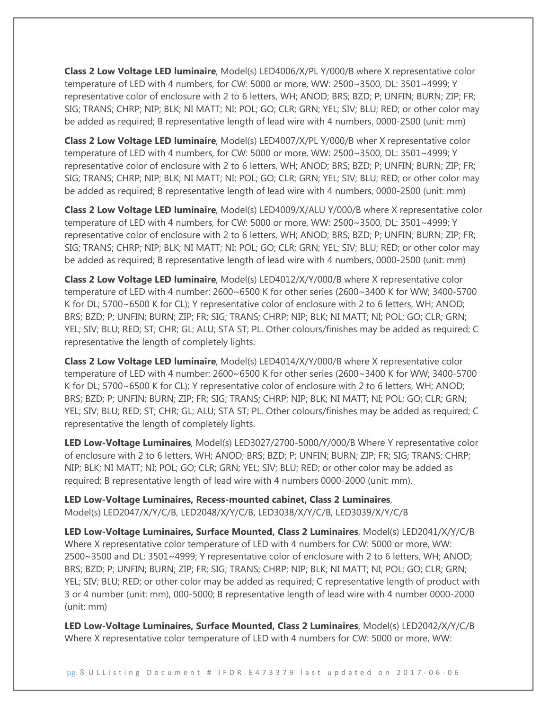**Class 2 Low Voltage LED luminaire**, Model(s) LED4006/X/PL Y/000/B where X representative color temperature of LED with 4 numbers, for CW: 5000 or more, WW: 2500~3500, DL: 3501~4999; Y representative color of enclosure with 2 to 6 letters, WH; ANOD; BRS; BZD; P; UNFIN; BURN; ZIP; FR; SIG; TRANS; CHRP; NIP; BLK; NI MATT; NI; POL; GO; CLR; GRN; YEL; SIV; BLU; RED; or other color may be added as required; B representative length of lead wire with 4 numbers, 0000-2500 (unit: mm)

**Class 2 Low Voltage LED luminaire**, Model(s) LED4007/X/PL Y/000/B wher X representative color temperature of LED with 4 numbers, for CW: 5000 or more, WW: 2500~3500, DL: 3501~4999; Y representative color of enclosure with 2 to 6 letters, WH; ANOD; BRS; BZD; P; UNFIN; BURN; ZIP; FR; SIG; TRANS; CHRP; NIP; BLK; NI MATT; NI; POL; GO; CLR; GRN; YEL; SIV; BLU; RED; or other color may be added as required; B representative length of lead wire with 4 numbers, 0000-2500 (unit: mm)

**Class 2 Low Voltage LED luminaire**, Model(s) LED4009/X/ALU Y/000/B where X representative color temperature of LED with 4 numbers, for CW: 5000 or more, WW: 2500~3500, DL: 3501~4999; Y representative color of enclosure with 2 to 6 letters, WH; ANOD; BRS; BZD; P; UNFIN; BURN; ZIP; FR; SIG; TRANS; CHRP; NIP; BLK; NI MATT; NI; POL; GO; CLR; GRN; YEL; SIV; BLU; RED; or other color may be added as required; B representative length of lead wire with 4 numbers, 0000-2500 (unit: mm)

**Class 2 Low Voltage LED luminaire**, Model(s) LED4012/X/Y/000/B where X representative color temperature of LED with 4 number: 2600~6500 K for other series (2600~3400 K for WW; 3400-5700 K for DL; 5700~6500 K for CL); Y representative color of enclosure with 2 to 6 letters, WH; ANOD; BRS; BZD; P; UNFIN; BURN; ZIP; FR; SIG; TRANS; CHRP; NIP; BLK; NI MATT; NI; POL; GO; CLR; GRN; YEL; SIV; BLU; RED; ST; CHR; GL; ALU; STA ST; PL. Other colours/finishes may be added as required; C representative the length of completely lights.

**Class 2 Low Voltage LED luminaire**, Model(s) LED4014/X/Y/000/B where X representative color temperature of LED with 4 number: 2600~6500 K for other series (2600~3400 K for WW; 3400-5700 K for DL; 5700~6500 K for CL); Y representative color of enclosure with 2 to 6 letters, WH; ANOD; BRS; BZD; P; UNFIN; BURN; ZIP; FR; SIG; TRANS; CHRP; NIP; BLK; NI MATT; NI; POL; GO; CLR; GRN; YEL; SIV; BLU; RED; ST; CHR; GL; ALU; STA ST; PL. Other colours/finishes may be added as required; C representative the length of completely lights.

**LED Low-Voltage Luminaires**, Model(s) LED3027/2700-5000/Y/000/B Where Y representative color of enclosure with 2 to 6 letters, WH; ANOD; BRS; BZD; P; UNFIN; BURN; ZIP; FR; SIG; TRANS; CHRP; NIP; BLK; NI MATT; NI; POL; GO; CLR; GRN; YEL; SIV; BLU; RED; or other color may be added as required; B representative length of lead wire with 4 numbers 0000-2000 (unit: mm).

**LED Low-Voltage Luminaires, Recess-mounted cabinet, Class 2 Luminaires**, Model(s) LED2047/X/Y/C/B, LED2048/X/Y/C/B, LED3038/X/Y/C/B, LED3039/X/Y/C/B

**LED Low-Voltage Luminaires, Surface Mounted, Class 2 Luminaires**, Model(s) LED2041/X/Y/C/B Where X representative color temperature of LED with 4 numbers for CW: 5000 or more, WW: 2500~3500 and DL: 3501~4999; Y representative color of enclosure with 2 to 6 letters, WH; ANOD; BRS; BZD; P; UNFIN; BURN; ZIP; FR; SIG; TRANS; CHRP; NIP; BLK; NI MATT; NI; POL; GO; CLR; GRN; YEL; SIV; BLU; RED; or other color may be added as required; C representative length of product with 3 or 4 number (unit: mm), 000-5000; B representative length of lead wire with 4 number 0000-2000 (unit: mm)

**LED Low-Voltage Luminaires, Surface Mounted, Class 2 Luminaires**, Model(s) LED2042/X/Y/C/B Where X representative color temperature of LED with 4 numbers for CW: 5000 or more, WW: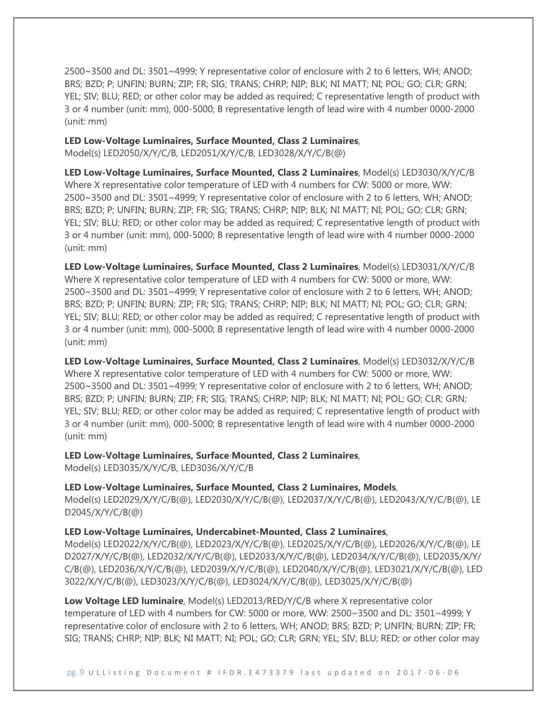2500~3500 and DL: 3501~4999; Y representative color of enclosure with 2 to 6 letters, WH; ANOD; BRS; BZD; P; UNFIN; BURN; ZIP; FR; SIG; TRANS; CHRP; NIP; BLK; NI MATT; NI; POL; GO; CLR; GRN; YEL; SIV; BLU; RED; or other color may be added as required; C representative length of product with 3 or 4 number (unit: mm), 000-5000; B representative length of lead wire with 4 number 0000-2000 (unit: mm)

#### **LED Low-Voltage Luminaires, Surface Mounted, Class 2 Luminaires**,

Model(s) LED2050/X/Y/C/B, LED2051/X/Y/C/B, LED3028/X/Y/C/B(@)

**LED Low-Voltage Luminaires, Surface Mounted, Class 2 Luminaires**, Model(s) LED3030/X/Y/C/B Where X representative color temperature of LED with 4 numbers for CW: 5000 or more, WW: 2500~3500 and DL: 3501~4999; Y representative color of enclosure with 2 to 6 letters, WH; ANOD; BRS; BZD; P; UNFIN; BURN; ZIP; FR; SIG; TRANS; CHRP; NIP; BLK; NI MATT; NI; POL; GO; CLR; GRN; YEL; SIV; BLU; RED; or other color may be added as required; C representative length of product with 3 or 4 number (unit: mm), 000-5000; B representative length of lead wire with 4 number 0000-2000 (unit: mm)

**LED Low-Voltage Luminaires, Surface Mounted, Class 2 Luminaires**, Model(s) LED3031/X/Y/C/B Where X representative color temperature of LED with 4 numbers for CW: 5000 or more, WW: 2500~3500 and DL: 3501~4999; Y representative color of enclosure with 2 to 6 letters, WH; ANOD; BRS; BZD; P; UNFIN; BURN; ZIP; FR; SIG; TRANS; CHRP; NIP; BLK; NI MATT; NI; POL; GO; CLR; GRN; YEL; SIV; BLU; RED; or other color may be added as required; C representative length of product with 3 or 4 number (unit: mm), 000-5000; B representative length of lead wire with 4 number 0000-2000 (unit: mm)

**LED Low-Voltage Luminaires, Surface Mounted, Class 2 Luminaires**, Model(s) LED3032/X/Y/C/B Where X representative color temperature of LED with 4 numbers for CW: 5000 or more, WW: 2500~3500 and DL: 3501~4999; Y representative color of enclosure with 2 to 6 letters, WH; ANOD; BRS; BZD; P; UNFIN; BURN; ZIP; FR; SIG; TRANS; CHRP; NIP; BLK; NI MATT; NI; POL; GO; CLR; GRN; YEL; SIV; BLU; RED; or other color may be added as required; C representative length of product with 3 or 4 number (unit: mm), 000-5000; B representative length of lead wire with 4 number 0000-2000 (unit: mm)

### **LED Low-Voltage Luminaires, Surface Mounted, Class 2 Luminaires**,

Model(s) LED3035/X/Y/C/B, LED3036/X/Y/C/B

**LED Low-Voltage Luminaires, Surface Mounted, Class 2 Luminaires, Models**,

Model(s) LED2029/X/Y/C/B(@), LED2030/X/Y/C/B(@), LED2037/X/Y/C/B(@), LED2043/X/Y/C/B(@), LE D2045/X/Y/C/B(@)

**LED Low-Voltage Luminaires, Undercabinet-Mounted, Class 2 Luminaires**,

Model(s) LED2022/X/Y/C/B(@), LED2023/X/Y/C/B(@), LED2025/X/Y/C/B(@), LED2026/X/Y/C/B(@), LE D2027/X/Y/C/B(@), LED2032/X/Y/C/B(@), LED2033/X/Y/C/B(@), LED2034/X/Y/C/B(@), LED2035/X/Y/ C/B(@), LED2036/X/Y/C/B(@), LED2039/X/Y/C/B(@), LED2040/X/Y/C/B(@), LED3021/X/Y/C/B(@), LED 3022/X/Y/C/B(@), LED3023/X/Y/C/B(@), LED3024/X/Y/C/B(@), LED3025/X/Y/C/B(@)

**Low Voltage LED luminaire**, Model(s) LED2013/RED/Y/C/B where X representative color temperature of LED with 4 numbers for CW: 5000 or more, WW: 2500~3500 and DL: 3501~4999; Y representative color of enclosure with 2 to 6 letters, WH; ANOD; BRS; BZD; P; UNFIN; BURN; ZIP; FR; SIG; TRANS; CHRP; NIP; BLK; NI MATT; NI; POL; GO; CLR; GRN; YEL; SIV; BLU; RED; or other color may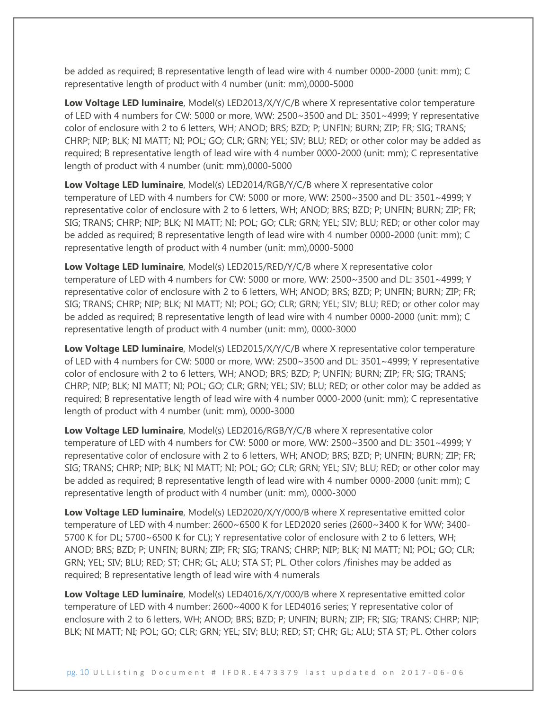be added as required; B representative length of lead wire with 4 number 0000-2000 (unit: mm); C representative length of product with 4 number (unit: mm),0000-5000

**Low Voltage LED luminaire**, Model(s) LED2013/X/Y/C/B where X representative color temperature of LED with 4 numbers for CW: 5000 or more, WW: 2500~3500 and DL: 3501~4999; Y representative color of enclosure with 2 to 6 letters, WH; ANOD; BRS; BZD; P; UNFIN; BURN; ZIP; FR; SIG; TRANS; CHRP; NIP; BLK; NI MATT; NI; POL; GO; CLR; GRN; YEL; SIV; BLU; RED; or other color may be added as required; B representative length of lead wire with 4 number 0000-2000 (unit: mm); C representative length of product with 4 number (unit: mm),0000-5000

**Low Voltage LED luminaire**, Model(s) LED2014/RGB/Y/C/B where X representative color temperature of LED with 4 numbers for CW: 5000 or more, WW: 2500~3500 and DL: 3501~4999; Y representative color of enclosure with 2 to 6 letters, WH; ANOD; BRS; BZD; P; UNFIN; BURN; ZIP; FR; SIG; TRANS; CHRP; NIP; BLK; NI MATT; NI; POL; GO; CLR; GRN; YEL; SIV; BLU; RED; or other color may be added as required; B representative length of lead wire with 4 number 0000-2000 (unit: mm); C representative length of product with 4 number (unit: mm),0000-5000

**Low Voltage LED luminaire**, Model(s) LED2015/RED/Y/C/B where X representative color temperature of LED with 4 numbers for CW: 5000 or more, WW: 2500~3500 and DL: 3501~4999; Y representative color of enclosure with 2 to 6 letters, WH; ANOD; BRS; BZD; P; UNFIN; BURN; ZIP; FR; SIG; TRANS; CHRP; NIP; BLK; NI MATT; NI; POL; GO; CLR; GRN; YEL; SIV; BLU; RED; or other color may be added as required; B representative length of lead wire with 4 number 0000-2000 (unit: mm); C representative length of product with 4 number (unit: mm), 0000-3000

**Low Voltage LED luminaire**, Model(s) LED2015/X/Y/C/B where X representative color temperature of LED with 4 numbers for CW: 5000 or more, WW: 2500~3500 and DL: 3501~4999; Y representative color of enclosure with 2 to 6 letters, WH; ANOD; BRS; BZD; P; UNFIN; BURN; ZIP; FR; SIG; TRANS; CHRP; NIP; BLK; NI MATT; NI; POL; GO; CLR; GRN; YEL; SIV; BLU; RED; or other color may be added as required; B representative length of lead wire with 4 number 0000-2000 (unit: mm); C representative length of product with 4 number (unit: mm), 0000-3000

**Low Voltage LED luminaire**, Model(s) LED2016/RGB/Y/C/B where X representative color temperature of LED with 4 numbers for CW: 5000 or more, WW: 2500~3500 and DL: 3501~4999; Y representative color of enclosure with 2 to 6 letters, WH; ANOD; BRS; BZD; P; UNFIN; BURN; ZIP; FR; SIG; TRANS; CHRP; NIP; BLK; NI MATT; NI; POL; GO; CLR; GRN; YEL; SIV; BLU; RED; or other color may be added as required; B representative length of lead wire with 4 number 0000-2000 (unit: mm); C representative length of product with 4 number (unit: mm), 0000-3000

Low Voltage LED luminaire, Model(s) LED2020/X/Y/000/B where X representative emitted color temperature of LED with 4 number: 2600~6500 K for LED2020 series (2600~3400 K for WW; 3400- 5700 K for DL; 5700~6500 K for CL); Y representative color of enclosure with 2 to 6 letters, WH; ANOD; BRS; BZD; P; UNFIN; BURN; ZIP; FR; SIG; TRANS; CHRP; NIP; BLK; NI MATT; NI; POL; GO; CLR; GRN; YEL; SIV; BLU; RED; ST; CHR; GL; ALU; STA ST; PL. Other colors /finishes may be added as required; B representative length of lead wire with 4 numerals

**Low Voltage LED luminaire**, Model(s) LED4016/X/Y/000/B where X representative emitted color temperature of LED with 4 number: 2600~4000 K for LED4016 series; Y representative color of enclosure with 2 to 6 letters, WH; ANOD; BRS; BZD; P; UNFIN; BURN; ZIP; FR; SIG; TRANS; CHRP; NIP; BLK; NI MATT; NI; POL; GO; CLR; GRN; YEL; SIV; BLU; RED; ST; CHR; GL; ALU; STA ST; PL. Other colors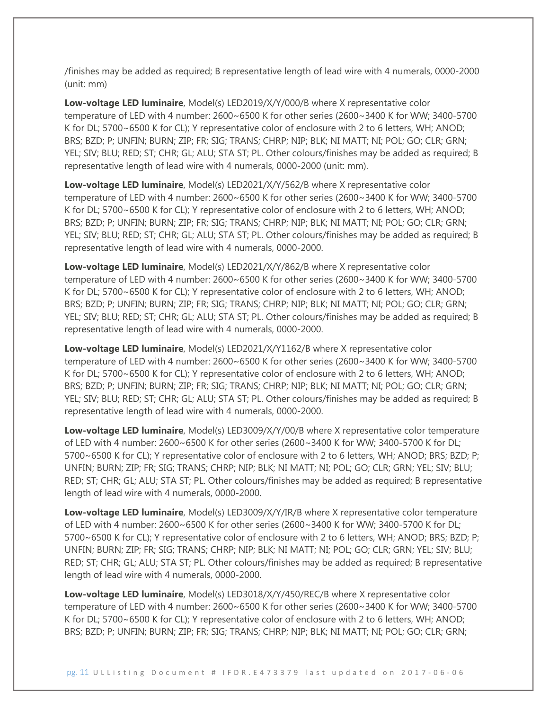/finishes may be added as required; B representative length of lead wire with 4 numerals, 0000-2000 (unit: mm)

**Low-voltage LED luminaire**, Model(s) LED2019/X/Y/000/B where X representative color temperature of LED with 4 number: 2600~6500 K for other series (2600~3400 K for WW; 3400-5700 K for DL; 5700~6500 K for CL); Y representative color of enclosure with 2 to 6 letters, WH; ANOD; BRS; BZD; P; UNFIN; BURN; ZIP; FR; SIG; TRANS; CHRP; NIP; BLK; NI MATT; NI; POL; GO; CLR; GRN; YEL; SIV; BLU; RED; ST; CHR; GL; ALU; STA ST; PL. Other colours/finishes may be added as required; B representative length of lead wire with 4 numerals, 0000-2000 (unit: mm).

**Low-voltage LED luminaire**, Model(s) LED2021/X/Y/562/B where X representative color temperature of LED with 4 number: 2600~6500 K for other series (2600~3400 K for WW; 3400-5700 K for DL; 5700~6500 K for CL); Y representative color of enclosure with 2 to 6 letters, WH; ANOD; BRS; BZD; P; UNFIN; BURN; ZIP; FR; SIG; TRANS; CHRP; NIP; BLK; NI MATT; NI; POL; GO; CLR; GRN; YEL; SIV; BLU; RED; ST; CHR; GL; ALU; STA ST; PL. Other colours/finishes may be added as required; B representative length of lead wire with 4 numerals, 0000-2000.

**Low-voltage LED luminaire**, Model(s) LED2021/X/Y/862/B where X representative color temperature of LED with 4 number: 2600~6500 K for other series (2600~3400 K for WW; 3400-5700 K for DL; 5700~6500 K for CL); Y representative color of enclosure with 2 to 6 letters, WH; ANOD; BRS; BZD; P; UNFIN; BURN; ZIP; FR; SIG; TRANS; CHRP; NIP; BLK; NI MATT; NI; POL; GO; CLR; GRN; YEL; SIV; BLU; RED; ST; CHR; GL; ALU; STA ST; PL. Other colours/finishes may be added as required; B representative length of lead wire with 4 numerals, 0000-2000.

**Low-voltage LED luminaire**, Model(s) LED2021/X/Y1162/B where X representative color temperature of LED with 4 number: 2600~6500 K for other series (2600~3400 K for WW; 3400-5700 K for DL; 5700~6500 K for CL); Y representative color of enclosure with 2 to 6 letters, WH; ANOD; BRS; BZD; P; UNFIN; BURN; ZIP; FR; SIG; TRANS; CHRP; NIP; BLK; NI MATT; NI; POL; GO; CLR; GRN; YEL; SIV; BLU; RED; ST; CHR; GL; ALU; STA ST; PL. Other colours/finishes may be added as required; B representative length of lead wire with 4 numerals, 0000-2000.

**Low-voltage LED luminaire**, Model(s) LED3009/X/Y/00/B where X representative color temperature of LED with 4 number: 2600~6500 K for other series (2600~3400 K for WW; 3400-5700 K for DL; 5700~6500 K for CL); Y representative color of enclosure with 2 to 6 letters, WH; ANOD; BRS; BZD; P; UNFIN; BURN; ZIP; FR; SIG; TRANS; CHRP; NIP; BLK; NI MATT; NI; POL; GO; CLR; GRN; YEL; SIV; BLU; RED; ST; CHR; GL; ALU; STA ST; PL. Other colours/finishes may be added as required; B representative length of lead wire with 4 numerals, 0000-2000.

**Low-voltage LED luminaire**, Model(s) LED3009/X/Y/IR/B where X representative color temperature of LED with 4 number: 2600~6500 K for other series (2600~3400 K for WW; 3400-5700 K for DL; 5700~6500 K for CL); Y representative color of enclosure with 2 to 6 letters, WH; ANOD; BRS; BZD; P; UNFIN; BURN; ZIP; FR; SIG; TRANS; CHRP; NIP; BLK; NI MATT; NI; POL; GO; CLR; GRN; YEL; SIV; BLU; RED; ST; CHR; GL; ALU; STA ST; PL. Other colours/finishes may be added as required; B representative length of lead wire with 4 numerals, 0000-2000.

**Low-voltage LED luminaire**, Model(s) LED3018/X/Y/450/REC/B where X representative color temperature of LED with 4 number: 2600~6500 K for other series (2600~3400 K for WW; 3400-5700 K for DL; 5700~6500 K for CL); Y representative color of enclosure with 2 to 6 letters, WH; ANOD; BRS; BZD; P; UNFIN; BURN; ZIP; FR; SIG; TRANS; CHRP; NIP; BLK; NI MATT; NI; POL; GO; CLR; GRN;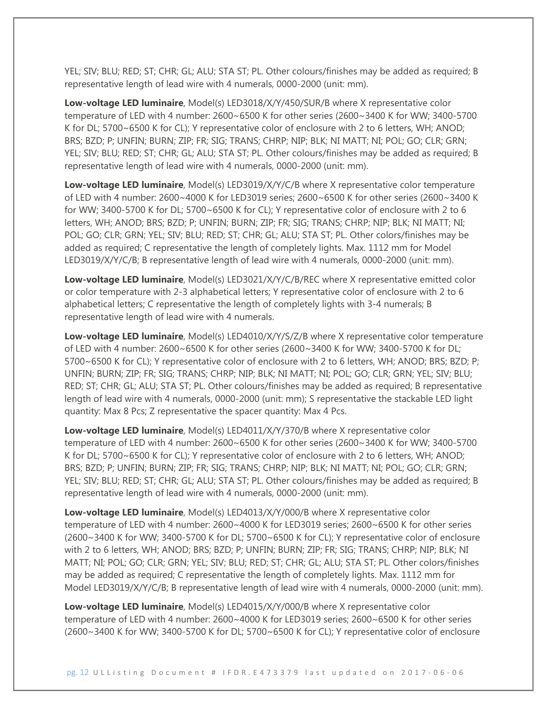YEL; SIV; BLU; RED; ST; CHR; GL; ALU; STA ST; PL. Other colours/finishes may be added as required; B representative length of lead wire with 4 numerals, 0000-2000 (unit: mm).

**Low-voltage LED luminaire**, Model(s) LED3018/X/Y/450/SUR/B where X representative color temperature of LED with 4 number: 2600~6500 K for other series (2600~3400 K for WW; 3400-5700 K for DL; 5700~6500 K for CL); Y representative color of enclosure with 2 to 6 letters, WH; ANOD; BRS; BZD; P; UNFIN; BURN; ZIP; FR; SIG; TRANS; CHRP; NIP; BLK; NI MATT; NI; POL; GO; CLR; GRN; YEL; SIV; BLU; RED; ST; CHR; GL; ALU; STA ST; PL. Other colours/finishes may be added as required; B representative length of lead wire with 4 numerals, 0000-2000 (unit: mm).

**Low-voltage LED luminaire**, Model(s) LED3019/X/Y/C/B where X representative color temperature of LED with 4 number: 2600~4000 K for LED3019 series; 2600~6500 K for other series (2600~3400 K for WW; 3400-5700 K for DL; 5700~6500 K for CL); Y representative color of enclosure with 2 to 6 letters, WH; ANOD; BRS; BZD; P; UNFIN; BURN; ZIP; FR; SIG; TRANS; CHRP; NIP; BLK; NI MATT; NI; POL; GO; CLR; GRN; YEL; SIV; BLU; RED; ST; CHR; GL; ALU; STA ST; PL. Other colors/finishes may be added as required; C representative the length of completely lights. Max. 1112 mm for Model LED3019/X/Y/C/B; B representative length of lead wire with 4 numerals, 0000-2000 (unit: mm).

**Low-voltage LED luminaire**, Model(s) LED3021/X/Y/C/B/REC where X representative emitted color or color temperature with 2-3 alphabetical letters; Y representative color of enclosure with 2 to 6 alphabetical letters; C representative the length of completely lights with 3-4 numerals; B representative length of lead wire with 4 numerals.

**Low-voltage LED luminaire**, Model(s) LED4010/X/Y/S/Z/B where X representative color temperature of LED with 4 number: 2600~6500 K for other series (2600~3400 K for WW; 3400-5700 K for DL; 5700~6500 K for CL); Y representative color of enclosure with 2 to 6 letters, WH; ANOD; BRS; BZD; P; UNFIN; BURN; ZIP; FR; SIG; TRANS; CHRP; NIP; BLK; NI MATT; NI; POL; GO; CLR; GRN; YEL; SIV; BLU; RED; ST; CHR; GL; ALU; STA ST; PL. Other colours/finishes may be added as required; B representative length of lead wire with 4 numerals, 0000-2000 (unit: mm); S representative the stackable LED light quantity: Max 8 Pcs; Z representative the spacer quantity: Max 4 Pcs.

**Low-voltage LED luminaire**, Model(s) LED4011/X/Y/370/B where X representative color temperature of LED with 4 number: 2600~6500 K for other series (2600~3400 K for WW; 3400-5700 K for DL; 5700~6500 K for CL); Y representative color of enclosure with 2 to 6 letters, WH; ANOD; BRS; BZD; P; UNFIN; BURN; ZIP; FR; SIG; TRANS; CHRP; NIP; BLK; NI MATT; NI; POL; GO; CLR; GRN; YEL; SIV; BLU; RED; ST; CHR; GL; ALU; STA ST; PL. Other colours/finishes may be added as required; B representative length of lead wire with 4 numerals, 0000-2000 (unit: mm).

**Low-voltage LED luminaire**, Model(s) LED4013/X/Y/000/B where X representative color temperature of LED with 4 number: 2600~4000 K for LED3019 series; 2600~6500 K for other series (2600~3400 K for WW; 3400-5700 K for DL; 5700~6500 K for CL); Y representative color of enclosure with 2 to 6 letters, WH; ANOD; BRS; BZD; P; UNFIN; BURN; ZIP; FR; SIG; TRANS; CHRP; NIP; BLK; NI MATT; NI; POL; GO; CLR; GRN; YEL; SIV; BLU; RED; ST; CHR; GL; ALU; STA ST; PL. Other colors/finishes may be added as required; C representative the length of completely lights. Max. 1112 mm for Model LED3019/X/Y/C/B; B representative length of lead wire with 4 numerals, 0000-2000 (unit: mm).

**Low-voltage LED luminaire**, Model(s) LED4015/X/Y/000/B where X representative color temperature of LED with 4 number: 2600~4000 K for LED3019 series; 2600~6500 K for other series (2600~3400 K for WW; 3400-5700 K for DL; 5700~6500 K for CL); Y representative color of enclosure